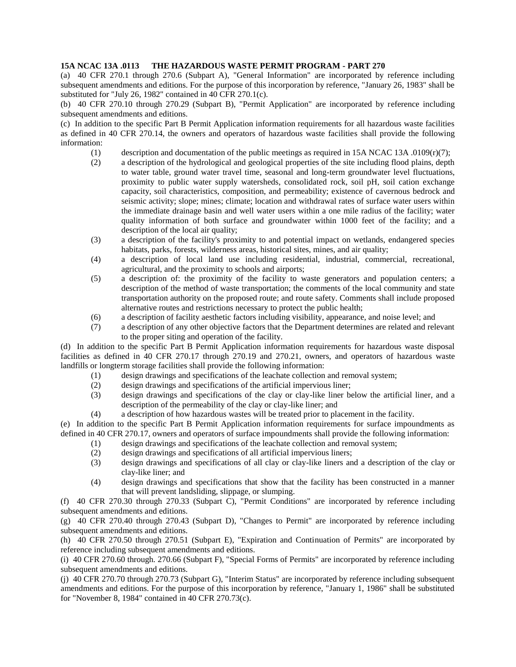## **15A NCAC 13A .0113 THE HAZARDOUS WASTE PERMIT PROGRAM - PART 270**

(a) 40 CFR 270.1 through 270.6 (Subpart A), "General Information" are incorporated by reference including subsequent amendments and editions. For the purpose of this incorporation by reference, "January 26, 1983" shall be substituted for "July 26, 1982" contained in 40 CFR 270.1(c).

(b) 40 CFR 270.10 through 270.29 (Subpart B), "Permit Application" are incorporated by reference including subsequent amendments and editions.

(c) In addition to the specific Part B Permit Application information requirements for all hazardous waste facilities as defined in 40 CFR 270.14, the owners and operators of hazardous waste facilities shall provide the following information:

- (1) description and documentation of the public meetings as required in 15A NCAC 13A .0109 $(r)(7)$ ;
- (2) a description of the hydrological and geological properties of the site including flood plains, depth to water table, ground water travel time, seasonal and long-term groundwater level fluctuations, proximity to public water supply watersheds, consolidated rock, soil pH, soil cation exchange capacity, soil characteristics, composition, and permeability; existence of cavernous bedrock and seismic activity; slope; mines; climate; location and withdrawal rates of surface water users within the immediate drainage basin and well water users within a one mile radius of the facility; water quality information of both surface and groundwater within 1000 feet of the facility; and a description of the local air quality;
- (3) a description of the facility's proximity to and potential impact on wetlands, endangered species habitats, parks, forests, wilderness areas, historical sites, mines, and air quality;
- (4) a description of local land use including residential, industrial, commercial, recreational, agricultural, and the proximity to schools and airports;
- (5) a description of: the proximity of the facility to waste generators and population centers; a description of the method of waste transportation; the comments of the local community and state transportation authority on the proposed route; and route safety. Comments shall include proposed alternative routes and restrictions necessary to protect the public health;
- (6) a description of facility aesthetic factors including visibility, appearance, and noise level; and
- (7) a description of any other objective factors that the Department determines are related and relevant to the proper siting and operation of the facility.

(d) In addition to the specific Part B Permit Application information requirements for hazardous waste disposal facilities as defined in 40 CFR 270.17 through 270.19 and 270.21, owners, and operators of hazardous waste landfills or longterm storage facilities shall provide the following information:

- (1) design drawings and specifications of the leachate collection and removal system;
- (2) design drawings and specifications of the artificial impervious liner;
- (3) design drawings and specifications of the clay or clay-like liner below the artificial liner, and a description of the permeability of the clay or clay-like liner; and
- (4) a description of how hazardous wastes will be treated prior to placement in the facility.

(e) In addition to the specific Part B Permit Application information requirements for surface impoundments as defined in 40 CFR 270.17, owners and operators of surface impoundments shall provide the following information:

- (1) design drawings and specifications of the leachate collection and removal system;
- (2) design drawings and specifications of all artificial impervious liners;
- (3) design drawings and specifications of all clay or clay-like liners and a description of the clay or clay-like liner; and
- (4) design drawings and specifications that show that the facility has been constructed in a manner that will prevent landsliding, slippage, or slumping.

(f) 40 CFR 270.30 through 270.33 (Subpart C), "Permit Conditions" are incorporated by reference including subsequent amendments and editions.

(g) 40 CFR 270.40 through 270.43 (Subpart D), "Changes to Permit" are incorporated by reference including subsequent amendments and editions.

(h) 40 CFR 270.50 through 270.51 (Subpart E), "Expiration and Continuation of Permits" are incorporated by reference including subsequent amendments and editions.

(i) 40 CFR 270.60 through. 270.66 (Subpart F), "Special Forms of Permits" are incorporated by reference including subsequent amendments and editions.

(j) 40 CFR 270.70 through 270.73 (Subpart G), "Interim Status" are incorporated by reference including subsequent amendments and editions. For the purpose of this incorporation by reference, "January 1, 1986" shall be substituted for "November 8, 1984" contained in 40 CFR 270.73(c).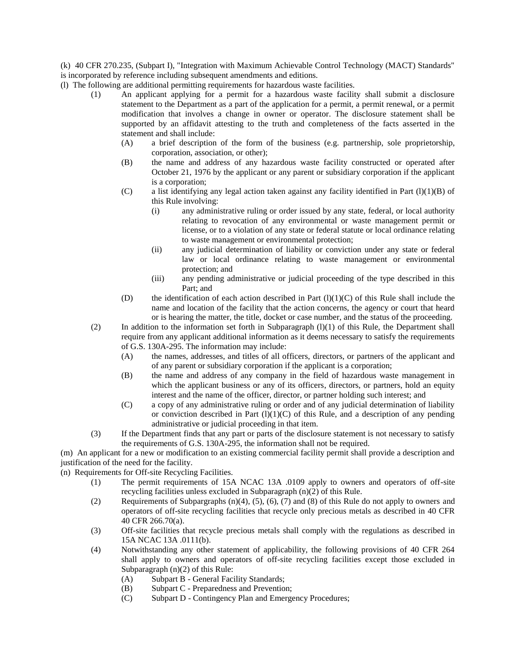(k) 40 CFR 270.235, (Subpart I), "Integration with Maximum Achievable Control Technology (MACT) Standards" is incorporated by reference including subsequent amendments and editions.

- (l) The following are additional permitting requirements for hazardous waste facilities.
	- (1) An applicant applying for a permit for a hazardous waste facility shall submit a disclosure statement to the Department as a part of the application for a permit, a permit renewal, or a permit modification that involves a change in owner or operator. The disclosure statement shall be supported by an affidavit attesting to the truth and completeness of the facts asserted in the statement and shall include:
		- (A) a brief description of the form of the business (e.g. partnership, sole proprietorship, corporation, association, or other);
		- (B) the name and address of any hazardous waste facility constructed or operated after October 21, 1976 by the applicant or any parent or subsidiary corporation if the applicant is a corporation;
		- (C) a list identifying any legal action taken against any facility identified in Part  $(l)(1)(B)$  of this Rule involving:
			- (i) any administrative ruling or order issued by any state, federal, or local authority relating to revocation of any environmental or waste management permit or license, or to a violation of any state or federal statute or local ordinance relating to waste management or environmental protection;
			- (ii) any judicial determination of liability or conviction under any state or federal law or local ordinance relating to waste management or environmental protection; and
			- (iii) any pending administrative or judicial proceeding of the type described in this Part; and
		- (D) the identification of each action described in Part  $(l)(1)(C)$  of this Rule shall include the name and location of the facility that the action concerns, the agency or court that heard or is hearing the matter, the title, docket or case number, and the status of the proceeding.
	- (2) In addition to the information set forth in Subparagraph  $(1)(1)$  of this Rule, the Department shall require from any applicant additional information as it deems necessary to satisfy the requirements of G.S. 130A-295. The information may include:
		- (A) the names, addresses, and titles of all officers, directors, or partners of the applicant and of any parent or subsidiary corporation if the applicant is a corporation;
		- (B) the name and address of any company in the field of hazardous waste management in which the applicant business or any of its officers, directors, or partners, hold an equity interest and the name of the officer, director, or partner holding such interest; and
		- (C) a copy of any administrative ruling or order and of any judicial determination of liability or conviction described in Part  $(l)(1)(C)$  of this Rule, and a description of any pending administrative or judicial proceeding in that item.
	- (3) If the Department finds that any part or parts of the disclosure statement is not necessary to satisfy the requirements of G.S. 130A-295, the information shall not be required.

(m) An applicant for a new or modification to an existing commercial facility permit shall provide a description and justification of the need for the facility.

(n) Requirements for Off-site Recycling Facilities.

- (1) The permit requirements of 15A NCAC 13A .0109 apply to owners and operators of off-site recycling facilities unless excluded in Subparagraph (n)(2) of this Rule.
- (2) Requirements of Subpargraphs (n)(4), (5), (6), (7) and (8) of this Rule do not apply to owners and operators of off-site recycling facilities that recycle only precious metals as described in 40 CFR 40 CFR 266.70(a).
- (3) Off-site facilities that recycle precious metals shall comply with the regulations as described in 15A NCAC 13A .0111(b).
- (4) Notwithstanding any other statement of applicability, the following provisions of 40 CFR 264 shall apply to owners and operators of off-site recycling facilities except those excluded in Subparagraph (n)(2) of this Rule:
	- (A) Subpart B General Facility Standards;
	- (B) Subpart C Preparedness and Prevention;
	- (C) Subpart D Contingency Plan and Emergency Procedures;